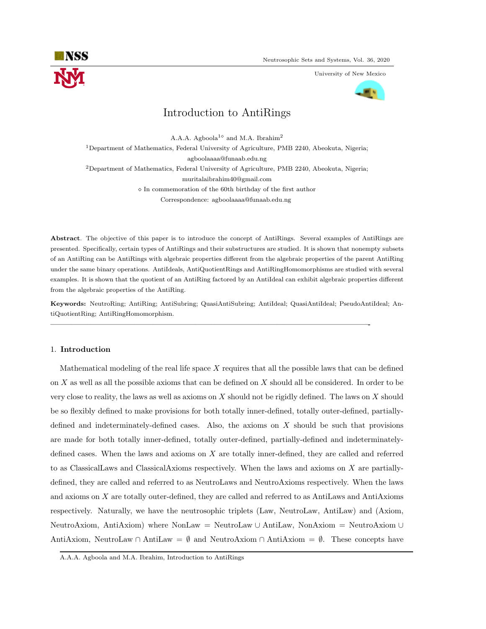

University of New Mexico



# Introduction to AntiRings

A.A.A. Agboola<sup>1 $\diamond$ </sup> and M.A. Ibrahim<sup>2</sup>

<sup>1</sup>Department of Mathematics, Federal University of Agriculture, PMB 2240, Abeokuta, Nigeria;

agboolaaaa@funaab.edu.ng

<sup>2</sup>Department of Mathematics, Federal University of Agriculture, PMB 2240, Abeokuta, Nigeria;

muritalaibrahim40@gmail.com

 $\Diamond$  In commemoration of the 60th birthday of the first author

Correspondence: agboolaaaa@funaab.edu.ng

Abstract. The objective of this paper is to introduce the concept of AntiRings. Several examples of AntiRings are presented. Specifically, certain types of AntiRings and their substructures are studied. It is shown that nonempty subsets of an AntiRing can be AntiRings with algebraic properties different from the algebraic properties of the parent AntiRing under the same binary operations. AntiIdeals, AntiQuotientRings and AntiRingHomomorphisms are studied with several examples. It is shown that the quotient of an AntiRing factored by an AntiIdeal can exhibit algebraic properties different from the algebraic properties of the AntiRing.

Keywords: NeutroRing; AntiRing; AntiSubring; QuasiAntiSubring; AntiIdeal; QuasiAntiIdeal; PseudoAntiIdeal; AntiQuotientRing; AntiRingHomomorphism.

—————————————————————————————————————————-

# 1. Introduction

Mathematical modeling of the real life space  $X$  requires that all the possible laws that can be defined on X as well as all the possible axioms that can be defined on X should all be considered. In order to be very close to reality, the laws as well as axioms on X should not be rigidly defined. The laws on X should be so flexibly defined to make provisions for both totally inner-defined, totally outer-defined, partiallydefined and indeterminately-defined cases. Also, the axioms on X should be such that provisions are made for both totally inner-defined, totally outer-defined, partially-defined and indeterminatelydefined cases. When the laws and axioms on X are totally inner-defined, they are called and referred to as ClassicalLaws and ClassicalAxioms respectively. When the laws and axioms on X are partiallydefined, they are called and referred to as NeutroLaws and NeutroAxioms respectively. When the laws and axioms on X are totally outer-defined, they are called and referred to as AntiLaws and AntiAxioms respectively. Naturally, we have the neutrosophic triplets (Law, NeutroLaw, AntiLaw) and (Axiom, NeutroAxiom, AntiAxiom) where NonLaw = NeutroLaw ∪ AntiLaw, NonAxiom = NeutroAxiom ∪ AntiAxiom, NeutroLaw ∩ AntiLaw =  $\emptyset$  and NeutroAxiom ∩ AntiAxiom =  $\emptyset$ . These concepts have

A.A.A. Agboola and M.A. Ibrahim, Introduction to AntiRings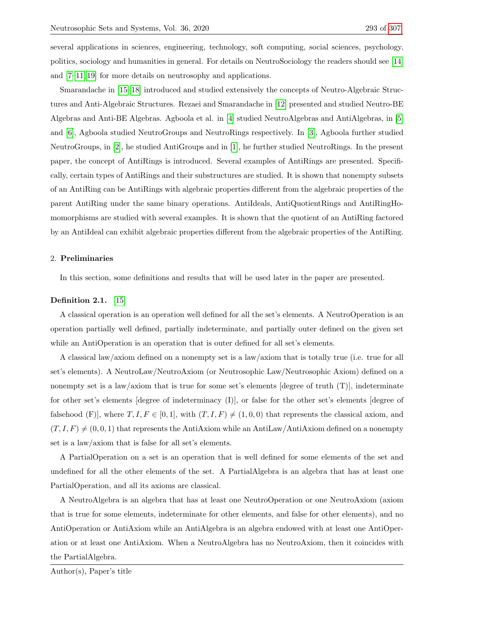several applications in sciences, engineering, technology, soft computing, social sciences, psychology, politics, sociology and humanities in general. For details on NeutroSociology the readers should see [\[14\]](#page-15-1) and [\[7–](#page-14-0)[11,](#page-14-1) [19\]](#page-15-2) for more details on neutrosophy and applications.

Smarandache in [\[15–](#page-15-3)[18\]](#page-15-4) introduced and studied extensively the concepts of Neutro-Algebraic Structures and Anti-Algebraic Structures. Rezaei and Smarandache in [\[12\]](#page-14-2) presented and studied Neutro-BE Algebras and Anti-BE Algebras. Agboola et al. in [\[4\]](#page-14-3) studied NeutroAlgebras and AntiAlgebras, in [\[5\]](#page-14-4) and [\[6\]](#page-14-5), Agboola studied NeutroGroups and NeutroRings respectively. In [\[3\]](#page-14-6), Agboola further studied NeutroGroups, in [\[2\]](#page-14-7), he studied AntiGroups and in [\[1\]](#page-14-8), he further studied NeutroRings. In the present paper, the concept of AntiRings is introduced. Several examples of AntiRings are presented. Specifically, certain types of AntiRings and their substructures are studied. It is shown that nonempty subsets of an AntiRing can be AntiRings with algebraic properties different from the algebraic properties of the parent AntiRing under the same binary operations. AntiIdeals, AntiQuotientRings and AntiRingHomomorphisms are studied with several examples. It is shown that the quotient of an AntiRing factored by an AntiIdeal can exhibit algebraic properties different from the algebraic properties of the AntiRing.

## 2. Preliminaries

In this section, some definitions and results that will be used later in the paper are presented.

#### Definition 2.1. [\[15\]](#page-15-3)

A classical operation is an operation well defined for all the set's elements. A NeutroOperation is an operation partially well defined, partially indeterminate, and partially outer defined on the given set while an AntiOperation is an operation that is outer defined for all set's elements.

A classical law/axiom defined on a nonempty set is a law/axiom that is totally true (i.e. true for all set's elements). A NeutroLaw/NeutroAxiom (or Neutrosophic Law/Neutrosophic Axiom) defined on a nonempty set is a law/axiom that is true for some set's elements [degree of truth  $(T)$ ], indeterminate for other set's elements [degree of indeterminacy (I)], or false for the other set's elements [degree of falsehood (F)], where  $T, I, F \in [0, 1]$ , with  $(T, I, F) \neq (1, 0, 0)$  that represents the classical axiom, and  $(T, I, F) \neq (0, 0, 1)$  that represents the AntiAxiom while an AntiLaw/AntiAxiom defined on a nonempty set is a law/axiom that is false for all set's elements.

A PartialOperation on a set is an operation that is well defined for some elements of the set and undefined for all the other elements of the set. A PartialAlgebra is an algebra that has at least one PartialOperation, and all its axioms are classical.

A NeutroAlgebra is an algebra that has at least one NeutroOperation or one NeutroAxiom (axiom that is true for some elements, indeterminate for other elements, and false for other elements), and no AntiOperation or AntiAxiom while an AntiAlgebra is an algebra endowed with at least one AntiOperation or at least one AntiAxiom. When a NeutroAlgebra has no NeutroAxiom, then it coincides with the PartialAlgebra.

Author(s), Paper's title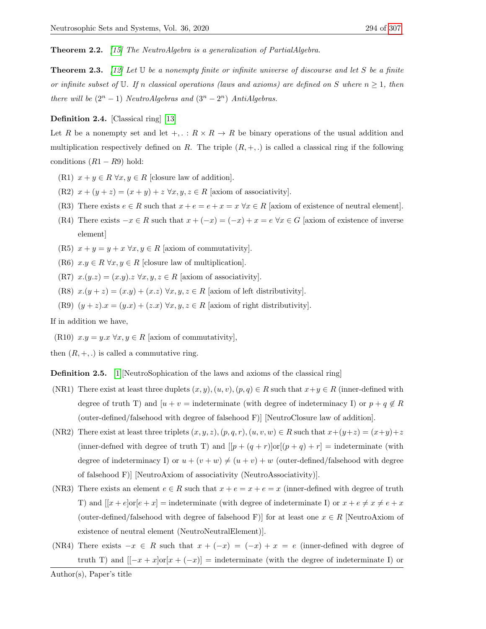Theorem 2.2. [\[15\]](#page-15-3) The NeutroAlgebra is a generalization of PartialAlgebra.

**Theorem 2.3.** [\[12\]](#page-14-2) Let  $\mathbb U$  be a nonempty finite or infinite universe of discourse and let S be a finite or infinite subset of U. If n classical operations (laws and axioms) are defined on S where  $n \geq 1$ , then there will be  $(2^n - 1)$  NeutroAlgebras and  $(3^n - 2^n)$  AntiAlgebras.

### Definition 2.4. [Classical ring] [\[13\]](#page-14-9)

Let R be a nonempty set and let  $+, \, : \, R \times R \to R$  be binary operations of the usual addition and multiplication respectively defined on R. The triple  $(R, +, \cdot)$  is called a classical ring if the following conditions  $(R1 - R9)$  hold:

- (R1)  $x + y \in R \ \forall x, y \in R$  [closure law of addition].
- (R2)  $x + (y + z) = (x + y) + z \,\forall x, y, z \in R$  [axiom of associativity].
- (R3) There exists  $e \in R$  such that  $x + e = e + x = x \,\forall x \in R$  [axiom of existence of neutral element].
- (R4) There exists  $-x \in R$  such that  $x + (-x) = (-x) + x = e \,\forall x \in G$  [axiom of existence of inverse element]
- (R5)  $x + y = y + x \,\forall x, y \in R$  [axiom of commutativity].
- (R6)  $x.y \in R \,\forall x, y \in R$  [closure law of multiplication].
- (R7)  $x.(y.z) = (x.y).z \,\forall x, y, z \in R$  [axiom of associativity].
- (R8)  $x.(y + z) = (x.y) + (x.z) \,\forall x, y, z \in R$  [axiom of left distributivity].
- (R9)  $(y + z)x = (y.x) + (z.x) \forall x, y, z \in R$  [axiom of right distributivity].

If in addition we have,

(R10)  $x.y = y.x \,\forall x, y \in R$  [axiom of commutativity],

then  $(R, +, .)$  is called a commutative ring.

Definition 2.5. [\[1\]](#page-14-8)[NeutroSophication of the laws and axioms of the classical ring]

- (NR1) There exist at least three duplets  $(x, y), (u, v), (p, q) \in R$  such that  $x+y \in R$  (inner-defined with degree of truth T) and  $[u + v =$  indeterminate (with degree of indeterminacy I) or  $p + q \notin R$ (outer-defined/falsehood with degree of falsehood F)] [NeutroClosure law of addition].
- (NR2) There exist at least three triplets  $(x, y, z), (p, q, r), (u, v, w) \in R$  such that  $x+(y+z) = (x+y)+z$ (inner-defned with degree of truth T) and  $[[p + (q + r)]or[(p + q) + r] =$  indeterminate (with degree of indeterminacy I) or  $u + (v + w) \neq (u + v) + w$  (outer-defined/falsehood with degree of falsehood F)] [NeutroAxiom of associativity (NeutroAssociativity)].
- (NR3) There exists an element  $e \in R$  such that  $x + e = x + e = x$  (inner-defined with degree of truth T) and  $[[x+e]$ or $[e+x]$  = indeterminate (with degree of indeterminate I) or  $x+e \neq x \neq e+x$ (outer-defined/falsehood with degree of falsehood F)] for at least one  $x \in R$  [NeutroAxiom of existence of neutral element (NeutroNeutralElement)].
- (NR4) There exists  $-x \in R$  such that  $x + (-x) = (-x) + x = e$  (inner-defined with degree of truth T) and  $[[-x + x]$ or $[x + (-x)]$  = indeterminate (with the degree of indeterminate I) or

Author(s), Paper's title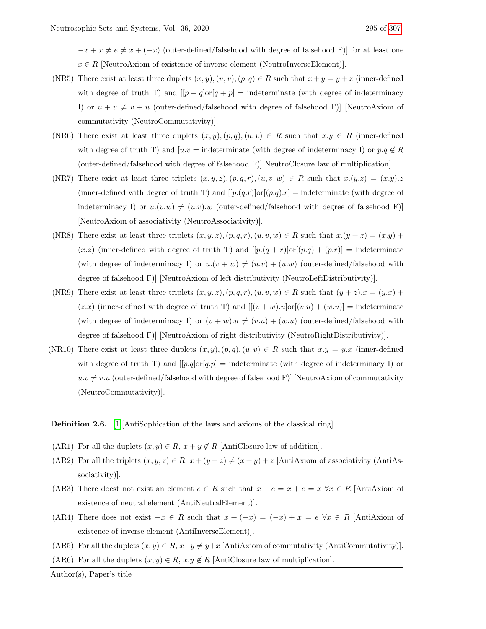$-x+x \neq e \neq x + (-x)$  (outer-defined/falsehood with degree of falsehood F)] for at least one  $x \in R$  [NeutroAxiom of existence of inverse element (NeutroInverseElement)].

- (NR5) There exist at least three duplets  $(x, y), (u, v), (p, q) \in R$  such that  $x + y = y + x$  (inner-defined with degree of truth T) and  $[|p+q]\text{or}|q+p] = \text{indeterminate}$  (with degree of indeterminacy I) or  $u + v \neq v + u$  (outer-defined/falsehood with degree of falsehood F)] [NeutroAxiom of commutativity (NeutroCommutativity)].
- (NR6) There exist at least three duplets  $(x, y), (p, q), (u, v) \in R$  such that  $x, y \in R$  (inner-defined with degree of truth T) and  $[u.v = \text{indeterminate}$  (with degree of indeterminacy I) or  $p.q \notin R$ (outer-defined/falsehood with degree of falsehood F)] NeutroClosure law of multiplication].
- (NR7) There exist at least three triplets  $(x, y, z), (p, q, r), (u, v, w) \in R$  such that  $x.(y.z) = (x.y).z$ (inner-defined with degree of truth T) and  $[[p(q,r)]\text{or}[(p,q).r] = \text{indeterminate}$  (with degree of indeterminacy I) or  $u.(v.w) \neq (u.v).w$  (outer-defined/falsehood with degree of falsehood F)] [NeutroAxiom of associativity (NeutroAssociativity)].
- (NR8) There exist at least three triplets  $(x, y, z), (p, q, r), (u, v, w) \in R$  such that  $x.(y + z) = (x.y) + (y. z)$  $(x \cdot z)$  (inner-defined with degree of truth T) and  $[[p \cdot (q + r)] \text{or} [(p \cdot q) + (p \cdot r)] =$  indeterminate (with degree of indeterminacy I) or  $u.(v + w) \neq (u.v) + (u.w)$  (outer-defined/falsehood with degree of falsehood F)] [NeutroAxiom of left distributivity (NeutroLeftDistributivity)].
- (NR9) There exist at least three triplets  $(x, y, z), (p, q, r), (u, v, w) \in R$  such that  $(y + z)x = (y.x) +$  $(z.x)$  (inner-defined with degree of truth T) and  $[[(v+w).u]\text{or}[(v.u)+(w.u)] = \text{indeterminate}$ (with degree of indeterminacy I) or  $(v + w) \cdot u \neq (v \cdot u) + (w \cdot u)$  (outer-defined/falsehood with degree of falsehood F)] [NeutroAxiom of right distributivity (NeutroRightDistributivity)].
- (NR10) There exist at least three duplets  $(x, y), (p, q), (u, v) \in R$  such that  $x \cdot y = y \cdot x$  (inner-defined with degree of truth T) and  $[[p.q]\text{or}[q.p] = \text{indeterminate}$  (with degree of indeterminacy I) or  $u.v \neq v.u$  (outer-defined/falsehood with degree of falsehood F)] [NeutroAxiom of commutativity (NeutroCommutativity)].

<span id="page-3-0"></span>Definition 2.6. [\[1\]](#page-14-8)[AntiSophication of the laws and axioms of the classical ring]

- (AR1) For all the duplets  $(x, y) \in R$ ,  $x + y \notin R$  [AntiClosure law of addition].
- (AR2) For all the triplets  $(x, y, z) \in R$ ,  $x + (y + z) \neq (x + y) + z$  [AntiAxiom of associativity (AntiAssociativity)].
- (AR3) There doest not exist an element  $e \in R$  such that  $x + e = x + e = x \,\forall x \in R$  [AntiAxiom of existence of neutral element (AntiNeutralElement)].
- (AR4) There does not exist  $-x \in R$  such that  $x + (-x) = (-x) + x = e \ \forall x \in R$  [AntiAxiom of existence of inverse element (AntiInverseElement)].
- (AR5) For all the duplets  $(x, y) \in R$ ,  $x+y \neq y+x$  [AntiAxiom of commutativity (AntiCommutativity)].
- (AR6) For all the duplets  $(x, y) \in R$ ,  $x \cdot y \notin R$  [AntiClosure law of multiplication].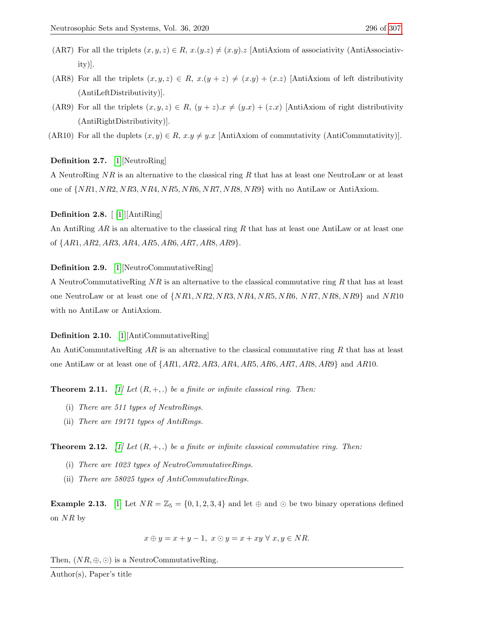- (AR7) For all the triplets  $(x, y, z) \in R$ ,  $x.(y.z) \neq (x.y).z$  [AntiAxiom of associativity (AntiAssociativity)].
- (AR8) For all the triplets  $(x, y, z) \in R$ ,  $x.(y + z) \neq (x.y) + (x.z)$  [AntiAxiom of left distributivity (AntiLeftDistributivity)].
- (AR9) For all the triplets  $(x, y, z) \in R$ ,  $(y + z)x \neq (y.x) + (z.x)$  [AntiAxiom of right distributivity (AntiRightDistributivity)].
- (AR10) For all the duplets  $(x, y) \in R$ ,  $x \cdot y \neq y \cdot x$  [AntiAxiom of commutativity (AntiCommutativity)].

Definition 2.7. [\[1\]](#page-14-8)[NeutroRing]

A NeutroRing NR is an alternative to the classical ring R that has at least one NeutroLaw or at least one of  $\{NR1, NR2, NR3, NR4, NR5, NR6, NR7, NR8, NR9\}$  with no AntiLaw or AntiAxiom.

<span id="page-4-0"></span>Definition 2.8. [ [\[1\]](#page-14-8)][AntiRing]

An Anti $\text{Ring } AR$  is an alternative to the classical ring R that has at least one AntiLaw or at least one of {AR1, AR2, AR3, AR4, AR5, AR6, AR7, AR8, AR9}.

# Definition 2.9. [\[1\]](#page-14-8)[NeutroCommutativeRing]

A NeutroCommutativeRing  $NR$  is an alternative to the classical commutative ring R that has at least one NeutroLaw or at least one of  $\{NR1, NR2, NR3, NR4, NR5, NR6, NR7, NR8, NR9\}$  and  $NR10$ with no AntiLaw or AntiAxiom.

# Definition 2.10. [\[1\]](#page-14-8)[AntiCommutativeRing]

An AntiCommutativeRing  $AR$  is an alternative to the classical commutative ring R that has at least one AntiLaw or at least one of  $\{AR1, AR2, AR3, AR4, AR5, AR6, AR7, AR8, AR9\}$  and  $AR10$ .

**Theorem 2.11.** [\[1\]](#page-14-8) Let  $(R, +, \cdot)$  be a finite or infinite classical ring. Then:

- (i) There are 511 types of NeutroRings.
- (ii) There are 19171 types of AntiRings.

**Theorem 2.12.** [\[1\]](#page-14-8) Let  $(R, +, \cdot)$  be a finite or infinite classical commutative ring. Then:

- (i) There are 1023 types of NeutroCommutativeRings.
- (ii) There are 58025 types of AntiCommutativeRings.

**Example 2.13.** [\[1\]](#page-14-8) Let  $NR = \mathbb{Z}_5 = \{0, 1, 2, 3, 4\}$  and let  $\oplus$  and  $\odot$  be two binary operations defined on  $NR$  by

$$
x \oplus y = x + y - 1, \ x \odot y = x + xy \ \forall \ x, y \in NR.
$$

Then,  $(NR, \oplus, \odot)$  is a NeutroCommutativeRing.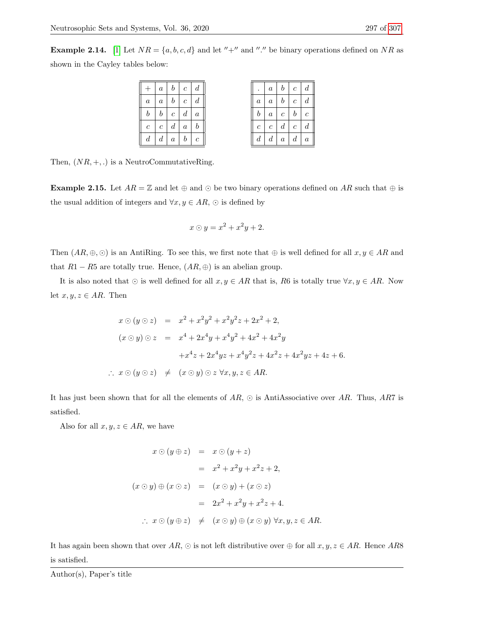**Example 2.14.** [\[1\]](#page-14-8) Let  $NR = \{a, b, c, d\}$  and let "+" and "." be binary operations defined on NR as shown in the Cayley tables below:

|                  |                  | $a \mid b \mid c \mid d$ |            |                     |
|------------------|------------------|--------------------------|------------|---------------------|
| $\boldsymbol{a}$ |                  | $a \mid b \mid c$        |            | $\boldsymbol{d}$    |
| b <sub>1</sub>   |                  | $b \mid c$               | $d \mid a$ |                     |
| $\boldsymbol{c}$ | $\boldsymbol{c}$ | $\lfloor d \rfloor$      | $\alpha$   | $\lfloor b \rfloor$ |
| $d^{-1}$         |                  | $d \mid a \mid b \mid c$ |            |                     |

Then,  $(NR, +, .)$  is a NeutroCommutativeRing.

**Example 2.15.** Let  $AR = \mathbb{Z}$  and let  $\oplus$  and  $\odot$  be two binary operations defined on AR such that  $\oplus$  is the usual addition of integers and  $\forall x, y \in AR$ ,  $\odot$  is defined by

$$
x \odot y = x^2 + x^2y + 2.
$$

Then  $(AR, \oplus, \odot)$  is an AntiRing. To see this, we first note that  $\oplus$  is well defined for all  $x, y \in AR$  and that  $R1 - R5$  are totally true. Hence,  $(AR, \oplus)$  is an abelian group.

It is also noted that  $\odot$  is well defined for all  $x, y \in AR$  that is, R6 is totally true  $\forall x, y \in AR$ . Now let  $x, y, z \in AR$ . Then

$$
x \odot (y \odot z) = x^2 + x^2y^2 + x^2y^2z + 2x^2 + 2,
$$
  
\n
$$
(x \odot y) \odot z = x^4 + 2x^4y + x^4y^2 + 4x^2 + 4x^2y + x^4z + 2x^4yz + x^4y^2z + 4x^2z + 4x^2yz + 4z + 6.
$$
  
\n
$$
\therefore x \odot (y \odot z) \neq (x \odot y) \odot z \forall x, y, z \in AR.
$$

It has just been shown that for all the elements of  $AR$ ,  $\odot$  is AntiAssociative over AR. Thus, AR7 is satisfied.

Also for all  $x, y, z \in AR$ , we have

$$
x \odot (y \oplus z) = x \odot (y + z)
$$
  
\n
$$
= x^{2} + x^{2}y + x^{2}z + 2,
$$
  
\n
$$
(x \odot y) \oplus (x \odot z) = (x \odot y) + (x \odot z)
$$
  
\n
$$
= 2x^{2} + x^{2}y + x^{2}z + 4.
$$
  
\n
$$
\therefore x \odot (y \oplus z) \neq (x \odot y) \oplus (x \odot y) \forall x, y, z \in AR.
$$

It has again been shown that over  $AR$ ,  $\odot$  is not left distributive over  $\oplus$  for all  $x, y, z \in AR$ . Hence AR8 is satisfied.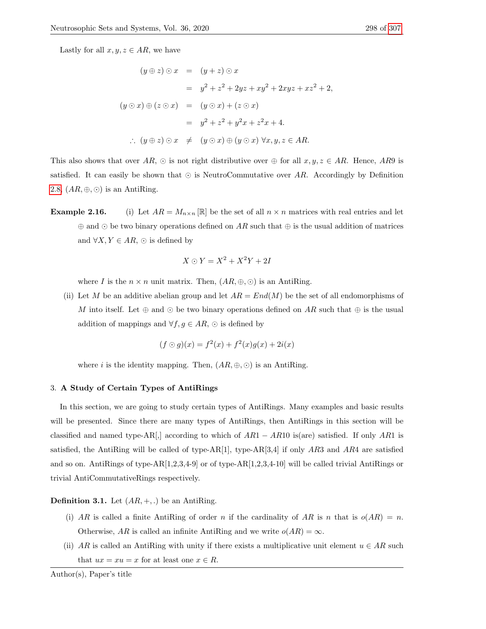Lastly for all  $x, y, z \in AR$ , we have

$$
(y \oplus z) \odot x = (y + z) \odot x
$$
  
\n
$$
= y^2 + z^2 + 2yz + xy^2 + 2xyz + xz^2 + 2,
$$
  
\n
$$
(y \odot x) \oplus (z \odot x) = (y \odot x) + (z \odot x)
$$
  
\n
$$
= y^2 + z^2 + y^2x + z^2x + 4.
$$
  
\n
$$
\therefore (y \oplus z) \odot x \neq (y \odot x) \oplus (y \odot x) \forall x, y, z \in AR.
$$

This also shows that over AR,  $\odot$  is not right distributive over  $\oplus$  for all  $x, y, z \in AR$ . Hence, AR9 is satisfied. It can easily be shown that  $\odot$  is NeutroCommutative over AR. Accordingly by Definition [2.8,](#page-4-0)  $(AR, \oplus, \odot)$  is an AntiRing.

**Example 2.16.** (i) Let  $AR = M_{n \times n} [\mathbb{R}]$  be the set of all  $n \times n$  matrices with real entries and let  $\oplus$  and  $\odot$  be two binary operations defined on AR such that  $\oplus$  is the usual addition of matrices and  $\forall X, Y \in AR$ ,  $\odot$  is defined by

$$
X \odot Y = X^2 + X^2Y + 2I
$$

where I is the  $n \times n$  unit matrix. Then,  $(AR, \oplus, \odot)$  is an AntiRing.

(ii) Let M be an additive abelian group and let  $AR = End(M)$  be the set of all endomorphisms of M into itself. Let  $\oplus$  and  $\odot$  be two binary operations defined on AR such that  $\oplus$  is the usual addition of mappings and  $\forall f, g \in AR$ ,  $\odot$  is defined by

$$
(f \odot g)(x) = f^{2}(x) + f^{2}(x)g(x) + 2i(x)
$$

where *i* is the identity mapping. Then,  $(AR, \oplus, \odot)$  is an AntiRing.

#### 3. A Study of Certain Types of AntiRings

In this section, we are going to study certain types of AntiRings. Many examples and basic results will be presented. Since there are many types of AntiRings, then AntiRings in this section will be classified and named type-AR[,] according to which of  $AR1 - AR10$  is(are) satisfied. If only AR1 is satisfied, the AntiRing will be called of type-AR[1], type-AR[3,4] if only  $AR3$  and  $AR4$  are satisfied and so on. AntiRings of type-AR[1,2,3,4-9] or of type-AR[1,2,3,4-10] will be called trivial AntiRings or trivial AntiCommutativeRings respectively.

**Definition 3.1.** Let  $(AR, +, .)$  be an AntiRing.

- (i) AR is called a finite AntiRing of order n if the cardinality of AR is n that is  $o(AR) = n$ . Otherwise, AR is called an infinite AntiRing and we write  $o(AR) = \infty$ .
- (ii) AR is called an AntiRing with unity if there exists a multiplicative unit element  $u \in AR$  such that  $ux = xu = x$  for at least one  $x \in R$ .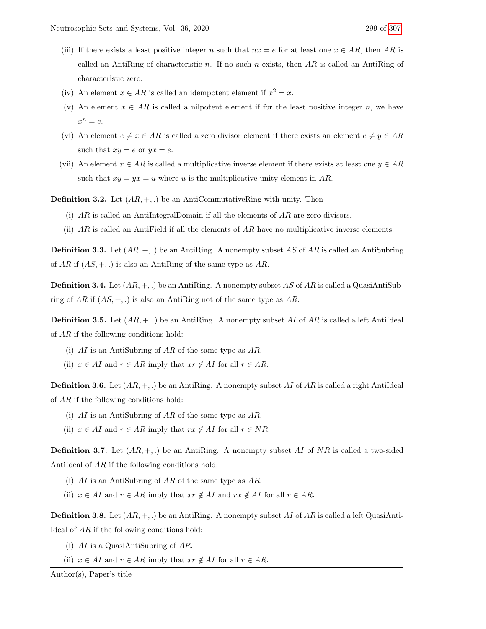- (iii) If there exists a least positive integer n such that  $nx = e$  for at least one  $x \in AR$ , then AR is called an Anti $\text{Ring of characteristic } n$ . If no such n exists, then AR is called an Anti $\text{Ring of }$ characteristic zero.
- (iv) An element  $x \in AR$  is called an idempotent element if  $x^2 = x$ .
- (v) An element  $x \in AR$  is called a nilpotent element if for the least positive integer n, we have  $x^n = e.$
- (vi) An element  $e \neq x \in AR$  is called a zero divisor element if there exists an element  $e \neq y \in AR$ such that  $xy = e$  or  $yx = e$ .
- (vii) An element  $x \in AR$  is called a multiplicative inverse element if there exists at least one  $y \in AR$ such that  $xy = yx = u$  where u is the multiplicative unity element in AR.

**Definition 3.2.** Let  $(AR, +,.)$  be an AntiCommutativeRing with unity. Then

- (i)  $AR$  is called an AntiIntegralDomain if all the elements of  $AR$  are zero divisors.
- (ii)  $AR$  is called an AntiField if all the elements of  $AR$  have no multiplicative inverse elements.

**Definition 3.3.** Let  $(AR, +, .)$  be an AntiRing. A nonempty subset AS of AR is called an AntiSubring of AR if  $(AS, +, .)$  is also an AntiRing of the same type as AR.

**Definition 3.4.** Let  $(AR, +, .)$  be an AntiRing. A nonempty subset AS of AR is called a QuasiAntiSubring of AR if  $(AS, +, .)$  is also an AntiRing not of the same type as AR.

**Definition 3.5.** Let  $(AR, +, .)$  be an AntiRing. A nonempty subset AI of AR is called a left AntiIdeal of AR if the following conditions hold:

- (i)  $AI$  is an AntiSubring of  $AR$  of the same type as  $AR$ .
- (ii)  $x \in AI$  and  $r \in AR$  imply that  $xr \notin AI$  for all  $r \in AR$ .

**Definition 3.6.** Let  $(AR, +, .)$  be an AntiRing. A nonempty subset AI of AR is called a right AntiIdeal of AR if the following conditions hold:

- (i) AI is an AntiSubring of AR of the same type as AR.
- (ii)  $x \in AI$  and  $r \in AR$  imply that  $rx \notin AI$  for all  $r \in NR$ .

**Definition 3.7.** Let  $(AR, +,.)$  be an AntiRing. A nonempty subset AI of NR is called a two-sided AntiIdeal of AR if the following conditions hold:

- (i)  $AI$  is an AntiSubring of  $AR$  of the same type as  $AR$ .
- (ii)  $x \in AI$  and  $r \in AR$  imply that  $xr \notin AI$  and  $rx \notin AI$  for all  $r \in AR$ .

**Definition 3.8.** Let  $(AR, +, .)$  be an AntiRing. A nonempty subset AI of AR is called a left QuasiAnti-Ideal of AR if the following conditions hold:

- (i)  $AI$  is a QuasiAntiSubring of  $AR$ .
- (ii)  $x \in AI$  and  $r \in AR$  imply that  $xr \notin AI$  for all  $r \in AR$ .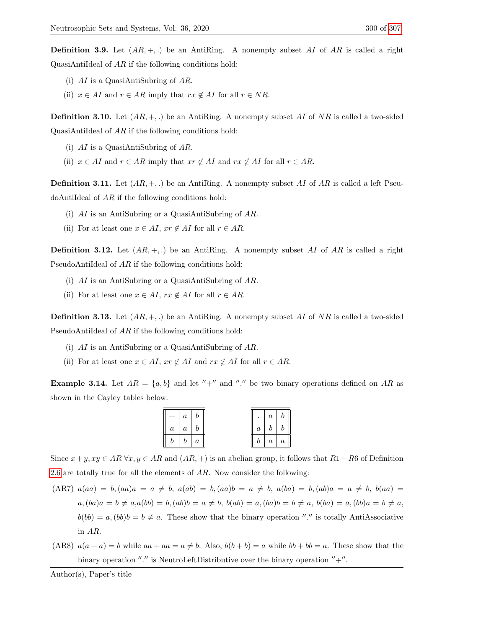**Definition 3.9.** Let  $(AR, +,.)$  be an AntiRing. A nonempty subset AI of AR is called a right QuasiAntiIdeal of AR if the following conditions hold:

- (i)  $AI$  is a QuasiAntiSubring of AR.
- (ii)  $x \in AI$  and  $r \in AR$  imply that  $rx \notin AI$  for all  $r \in NR$ .

**Definition 3.10.** Let  $(AR, +,.)$  be an AntiRing. A nonempty subset AI of NR is called a two-sided QuasiAntiIdeal of  $AR$  if the following conditions hold:

- (i)  $AI$  is a QuasiAntiSubring of  $AR$ .
- (ii)  $x \in AI$  and  $r \in AR$  imply that  $xr \notin AI$  and  $rx \notin AI$  for all  $r \in AR$ .

**Definition 3.11.** Let  $(AR, +,.)$  be an AntiRing. A nonempty subset AI of AR is called a left Pseu $d$ oAntiIdeal of  $AR$  if the following conditions hold:

- (i) AI is an AntiSubring or a QuasiAntiSubring of AR.
- (ii) For at least one  $x \in AI$ ,  $xr \notin AI$  for all  $r \in AR$ .

**Definition 3.12.** Let  $(AR, +, .)$  be an AntiRing. A nonempty subset AI of AR is called a right PseudoAntiIdeal of AR if the following conditions hold:

- (i) AI is an AntiSubring or a QuasiAntiSubring of AR.
- (ii) For at least one  $x \in AI$ ,  $rx \notin AI$  for all  $r \in AR$ .

**Definition 3.13.** Let  $(AR, +,.)$  be an AntiRing. A nonempty subset AI of NR is called a two-sided PseudoAntiIdeal of AR if the following conditions hold:

- (i) AI is an AntiSubring or a QuasiAntiSubring of AR.
- (ii) For at least one  $x \in AI$ ,  $xr \notin AI$  and  $rx \notin AI$  for all  $r \in AR$ .

<span id="page-8-0"></span>**Example 3.14.** Let  $AR = \{a, b\}$  and let "+" and "." be two binary operations defined on AR as shown in the Cayley tables below.

|       | $a \mid b$        |  | . <b>.</b>    | a <sub>1</sub> | $\boldsymbol{b}$ |
|-------|-------------------|--|---------------|----------------|------------------|
|       | $a \mid a \mid b$ |  | $a +$         | $b \mid b$     |                  |
| $b -$ | $b \mid a$        |  | $\mathcal{D}$ | a <sub>1</sub> | $\boldsymbol{a}$ |

Since  $x+y, xy \in AR \,\forall x, y \in AR$  and  $(AR, +)$  is an abelian group, it follows that  $R1-R6$  of Definition [2.6](#page-3-0) are totally true for all the elements of  $AR$ . Now consider the following:

$$
(AR7) \ a(aa) = b, (aa)a = a \neq b, \ a(ab) = b, (aa)b = a \neq b, \ a(ba) = b, (ab)a = a \neq b, \ b(aa) = a, (ba)a = b \neq a, a(bb) = b, (ab)b = a \neq b, \ b(ab) = a, (ba)b = b \neq a, \ b(ba) = a, (bb)b = b \neq a
$$
\n
$$
b(bb) = a, (bb)b = b \neq a.
$$
\nThese show that the binary operation "." is totally AntiAssociative in *AR*.

(AR8)  $a(a + a) = b$  while  $aa + aa = a \neq b$ . Also,  $b(b + b) = a$  while  $bb + bb = a$ . These show that the binary operation  $''.''$  is NeutroLeftDistributive over the binary operation  $''+''.$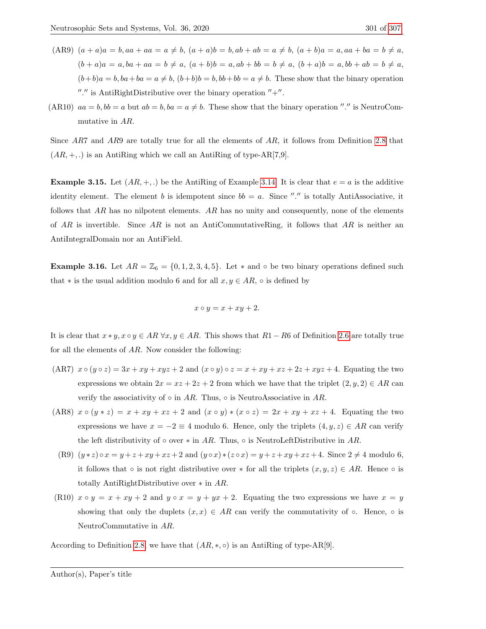- $(AR9)$   $(a + a)a = b$ ,  $aa + aa = a \neq b$ ,  $(a + a)b = b$ ,  $ab + ab = a \neq b$ ,  $(a + b)a = a$ ,  $aa + ba = b \neq a$ ,  $(b + a)a = a, ba + aa = b \neq a, (a + b)b = a, ab + bb = b \neq a, (b + a)b = a, bb + ab = b \neq a,$  $(b+b)a = b$ ,  $ba + ba = a \neq b$ ,  $(b+b)b = b$ ,  $bb + bb = a \neq b$ . These show that the binary operation "." is AntiRightDistributive over the binary operation  $" +"$ .
- (AR10)  $aa = b$ ,  $bb = a$  but  $ab = b$ ,  $ba = a \neq b$ . These show that the binary operation "." is NeutroCommutative in AR.

Since AR7 and AR9 are totally true for all the elements of AR, it follows from Definition [2.8](#page-4-0) that  $(AR, +, .)$  is an AntiRing which we call an AntiRing of type-AR[7,9].

**Example 3.15.** Let  $(AR, +, \cdot)$  be the AntiRing of Example [3.14.](#page-8-0) It is clear that  $e = a$  is the additive identity element. The element b is idempotent since  $bb = a$ . Since "." is totally AntiAssociative, it follows that  $AR$  has no nilpotent elements.  $AR$  has no unity and consequently, none of the elements of AR is invertible. Since AR is not an AntiCommutativeRing, it follows that AR is neither an AntiIntegralDomain nor an AntiField.

<span id="page-9-0"></span>**Example 3.16.** Let  $AR = \mathbb{Z}_6 = \{0, 1, 2, 3, 4, 5\}$ . Let  $*$  and  $\circ$  be two binary operations defined such that  $*$  is the usual addition modulo 6 and for all  $x, y \in AR$ , ∘ is defined by

$$
x \circ y = x + xy + 2.
$$

It is clear that  $x * y$ ,  $x \circ y \in AR \ \forall x, y \in AR$ . This shows that  $R1 - R6$  of Definition [2.6](#page-3-0) are totally true for all the elements of AR. Now consider the following:

- (AR7)  $x \circ (y \circ z) = 3x + xy + xyz + 2$  and  $(x \circ y) \circ z = x + xy + xz + 2z + xyz + 4$ . Equating the two expressions we obtain  $2x = xz + 2z + 2$  from which we have that the triplet  $(2, y, 2) \in AR$  can verify the associativity of  $\circ$  in AR. Thus,  $\circ$  is NeutroAssociative in AR.
- (AR8)  $x \circ (y * z) = x + xy + xz + 2$  and  $(x \circ y) * (x \circ z) = 2x + xy + xz + 4$ . Equating the two expressions we have  $x = -2 \equiv 4$  modulo 6. Hence, only the triplets  $(4, y, z) \in AR$  can verify the left distributivity of  $\circ$  over  $*$  in AR. Thus,  $\circ$  is NeutroLeftDistributive in AR.
	- (R9)  $(y * z) \circ x = y + z + xy + xz + 2$  and  $(y \circ x) * (z \circ x) = y + z + xy + xz + 4$ . Since  $2 \neq 4$  modulo 6, it follows that  $\circ$  is not right distributive over  $*$  for all the triplets  $(x, y, z) \in AR$ . Hence  $\circ$  is totally AntiRightDistributive over ∗ in AR.
- (R10)  $x \circ y = x + xy + 2$  and  $y \circ x = y + yx + 2$ . Equating the two expressions we have  $x = y$ showing that only the duplets  $(x, x) \in AR$  can verify the commutativity of  $\circ$ . Hence,  $\circ$  is NeutroCommutative in AR.

According to Definition [2.8,](#page-4-0) we have that  $(AR, *, \circ)$  is an AntiRing of type-AR[9].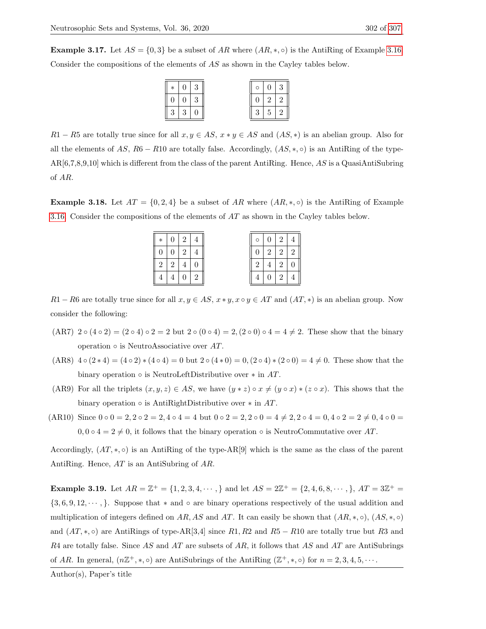<span id="page-10-0"></span>**Example 3.17.** Let  $AS = \{0,3\}$  be a subset of AR where  $(AR, *, \circ)$  is the AntiRing of Example [3.16.](#page-9-0) Consider the compositions of the elements of AS as shown in the Cayley tables below.

| $\ast$ | 0 <sup>1</sup>  |  | $\circ$ | $0^{\circ}$     | 3 |
|--------|-----------------|--|---------|-----------------|---|
|        |                 |  |         | $2^{\circ}$     |   |
|        | $\vert 3 \vert$ |  | 3       | $5\overline{)}$ |   |

R1 − R5 are totally true since for all  $x, y \in AS$ ,  $x * y \in AS$  and  $(AS, *)$  is an abelian group. Also for all the elements of AS, R6 − R10 are totally false. Accordingly,  $(AS, *, \circ)$  is an AntiRing of the type- $AR[6,7,8,9,10]$  which is different from the class of the parent AntiRing. Hence, AS is a QuasiAntiSubring of AR.

<span id="page-10-1"></span>**Example 3.18.** Let  $AT = \{0, 2, 4\}$  be a subset of AR where  $(AR, *, \circ)$  is the AntiRing of Example [3.16.](#page-9-0) Consider the compositions of the elements of AT as shown in the Cayley tables below.

| $\ast$ |             | 2 4 |                | $\circ$          | $\overline{0}$ | $+2+$          |                |
|--------|-------------|-----|----------------|------------------|----------------|----------------|----------------|
|        |             | 2   | $\overline{4}$ | $\left( \right)$ | 2 <sup>1</sup> | 2 <sup>1</sup> | $\overline{2}$ |
|        | $2^{\circ}$ |     |                | $\overline{2}$   | $\overline{4}$ | $\overline{2}$ |                |
|        |             |     | $\overline{2}$ |                  | $\overline{0}$ | $\overline{2}$ | $\overline{4}$ |

 $R1 - R6$  are totally true since for all  $x, y \in AS$ ,  $x * y$ ,  $x \circ y \in AT$  and  $(AT, *)$  is an abelian group. Now consider the following:

- (AR7) 2 (4 2) = (2 4) 2 = 2 but 2 (0 4) = 2, (2 0) 4 = 4  $\neq$  2. These show that the binary operation  $\circ$  is NeutroAssociative over AT.
- $(AR8) 4 \circ (2 * 4) = (4 \circ 2) * (4 \circ 4) = 0$  but  $2 \circ (4 * 0) = 0$ ,  $(2 \circ 4) * (2 \circ 0) = 4 \neq 0$ . These show that the binary operation  $\circ$  is NeutroLeftDistributive over  $*$  in AT.
- (AR9) For all the triplets  $(x, y, z) \in AS$ , we have  $(y * z) \circ x \neq (y \circ x) * (z \circ x)$ . This shows that the binary operation  $\circ$  is AntiRightDistributive over  $*$  in AT.
- (AR10) Since  $0 \circ 0 = 2, 2 \circ 2 = 2, 4 \circ 4 = 4$  but  $0 \circ 2 = 2, 2 \circ 0 = 4 \neq 2, 2 \circ 4 = 0, 4 \circ 2 = 2 \neq 0, 4 \circ 0 = 0$  $0, 0 \circ 4 = 2 \neq 0$ , it follows that the binary operation  $\circ$  is NeutroCommutative over AT.

Accordingly,  $(AT, *, \circ)$  is an AntiRing of the type-AR[9] which is the same as the class of the parent AntiRing. Hence, AT is an AntiSubring of AR.

<span id="page-10-2"></span>**Example 3.19.** Let  $AR = \mathbb{Z}^+ = \{1, 2, 3, 4, \cdots\}$  and let  $AS = 2\mathbb{Z}^+ = \{2, 4, 6, 8, \cdots\}$ ,  $AT = 3\mathbb{Z}^+ =$ {3, 6, 9, 12, · · · , }. Suppose that ∗ and ◦ are binary operations respectively of the usual addition and multiplication of integers defined on AR, AS and AT. It can easily be shown that  $(A R, *, \circ)$ ,  $(A S, *, \circ)$ and  $(AT, *, \circ)$  are AntiRings of type-AR[3,4] since R1, R2 and R5 – R10 are totally true but R3 and  $R4$  are totally false. Since AS and AT are subsets of AR, it follows that AS and AT are AntiSubrings of AR. In general,  $(n\mathbb{Z}^+, * , \circ)$  are AntiSubrings of the AntiRing  $(\mathbb{Z}^+, * , \circ)$  for  $n = 2, 3, 4, 5, \cdots$ .

Author(s), Paper's title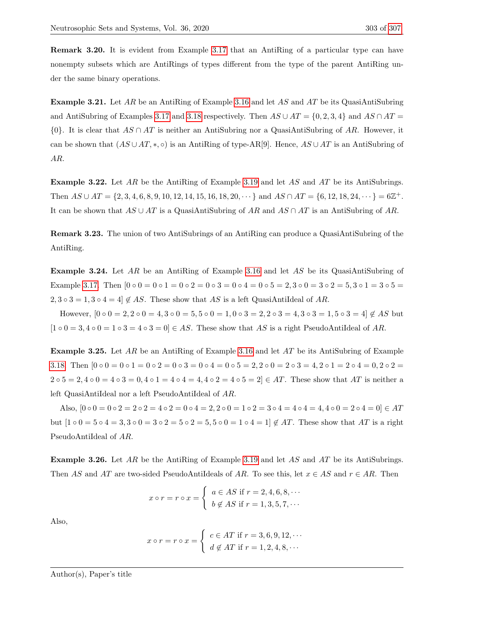Remark 3.20. It is evident from Example [3.17](#page-10-0) that an AntiRing of a particular type can have nonempty subsets which are AntiRings of types different from the type of the parent AntiRing under the same binary operations.

**Example 3.21.** Let AR be an AntiRing of Example [3.16](#page-9-0) and let AS and AT be its QuasiAntiSubring and AntiSubring of Examples [3.17](#page-10-0) and [3.18](#page-10-1) respectively. Then  $AS \cup AT = \{0, 2, 3, 4\}$  and  $AS \cap AT =$  $\{0\}$ . It is clear that  $AS \cap AT$  is neither an AntiSubring nor a QuasiAntiSubring of AR. However, it can be shown that  $(AS \cup AT, *, \circ)$  is an AntiRing of type-AR[9]. Hence,  $AS \cup AT$  is an AntiSubring of AR.

Example 3.22. Let AR be the AntiRing of Example [3.19](#page-10-2) and let AS and AT be its AntiSubrings. Then  $AS \cup AT = \{2, 3, 4, 6, 8, 9, 10, 12, 14, 15, 16, 18, 20, \cdots\}$  and  $AS \cap AT = \{6, 12, 18, 24, \cdots\} = 6\mathbb{Z}^+.$ It can be shown that  $AS \cup AT$  is a QuasiAntiSubring of AR and  $AS \cap AT$  is an AntiSubring of AR.

Remark 3.23. The union of two AntiSubrings of an AntiRing can produce a QuasiAntiSubring of the AntiRing.

<span id="page-11-0"></span>Example 3.24. Let AR be an AntiRing of Example [3.16](#page-9-0) and let AS be its QuasiAntiSubring of Example [3.17.](#page-10-0) Then  $[0 \circ 0 = 0 \circ 1 = 0 \circ 2 = 0 \circ 3 = 0 \circ 4 = 0 \circ 5 = 2, 3 \circ 0 = 3 \circ 2 = 5, 3 \circ 1 = 3 \circ 5 = 5$  $2, 3 \circ 3 = 1, 3 \circ 4 = 4$   $\notin AS$ . These show that AS is a left QuasiAntiIdeal of AR.

However,  $[0 \circ 0 = 2, 2 \circ 0 = 4, 3 \circ 0 = 5, 5 \circ 0 = 1, 0 \circ 3 = 2, 2 \circ 3 = 4, 3 \circ 3 = 1, 5 \circ 3 = 4] \notin AS$  but  $[1 \circ 0 = 3, 4 \circ 0 = 1 \circ 3 = 4 \circ 3 = 0] \in AS$ . These show that AS is a right PseudoAntiIdeal of AR.

<span id="page-11-1"></span>Example 3.25. Let AR be an AntiRing of Example [3.16](#page-9-0) and let AT be its AntiSubring of Example [3.18.](#page-10-1) Then  $[0 \circ 0 = 0 \circ 1 = 0 \circ 2 = 0 \circ 3 = 0 \circ 4 = 0 \circ 5 = 2, 2 \circ 0 = 2 \circ 3 = 4, 2 \circ 1 = 2 \circ 4 = 0, 2 \circ 2 = 1$  $2 \circ 5 = 2, 4 \circ 0 = 4 \circ 3 = 0, 4 \circ 1 = 4 \circ 4 = 4, 4 \circ 2 = 4 \circ 5 = 2 \in AT$ . These show that AT is neither a left QuasiAntiIdeal nor a left PseudoAntiIdeal of AR.

Also,  $[0 \circ 0 = 0 \circ 2 = 2 \circ 2 = 4 \circ 2 = 0 \circ 4 = 2, 2 \circ 0 = 1 \circ 2 = 3 \circ 4 = 4 \circ 4 = 4, 4 \circ 0 = 2 \circ 4 = 0] \in AT$ but  $[1 \circ 0 = 5 \circ 4 = 3, 3 \circ 0 = 3 \circ 2 = 5 \circ 2 = 5, 5 \circ 0 = 1 \circ 4 = 1] \notin AT$ . These show that AT is a right PseudoAntiIdeal of AR.

<span id="page-11-2"></span>Example 3.26. Let AR be the AntiRing of Example [3.19](#page-10-2) and let AS and AT be its AntiSubrings. Then AS and AT are two-sided PseudoAntiIdeals of AR. To see this, let  $x \in AS$  and  $r \in AR$ . Then

$$
x \circ r = r \circ x = \begin{cases} a \in AS \text{ if } r = 2, 4, 6, 8, \cdots \\ b \notin AS \text{ if } r = 1, 3, 5, 7, \cdots \end{cases}
$$

Also,

$$
x \circ r = r \circ x = \begin{cases} c \in AT \text{ if } r = 3, 6, 9, 12, \cdots \\ d \notin AT \text{ if } r = 1, 2, 4, 8, \cdots \end{cases}
$$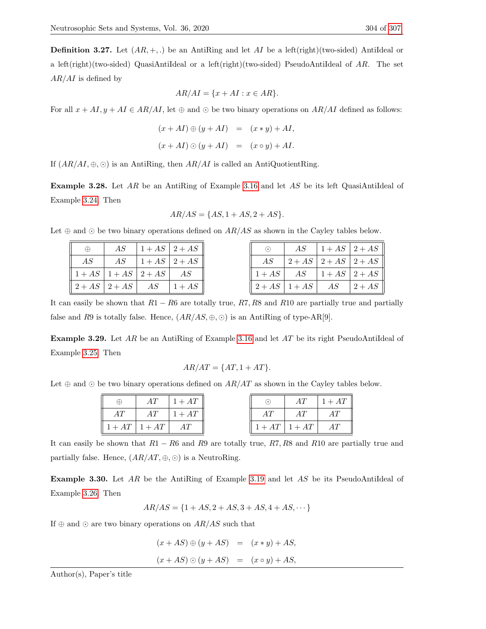**Definition 3.27.** Let  $(AR, +,.)$  be an AntiRing and let AI be a left(right)(two-sided) AntiIdeal or a left(right)(two-sided) QuasiAntiIdeal or a left(right)(two-sided) PseudoAntiIdeal of  $AR$ . The set  $AR/AI$  is defined by

$$
AR/AI = \{x + AI : x \in AR\}.
$$

For all  $x + AI$ ,  $y + AI \in AR/AI$ , let  $\oplus$  and  $\odot$  be two binary operations on  $AR/AI$  defined as follows:

$$
(x + AI) \oplus (y + AI) = (x * y) + AI,
$$
  

$$
(x + AI) \odot (y + AI) = (x \circ y) + AI.
$$

If  $(AR/AI, \oplus, \odot)$  is an AntiRing, then  $AR/AI$  is called an AntiQuotientRing.

Example 3.28. Let AR be an AntiRing of Example [3.16](#page-9-0) and let AS be its left QuasiAntiIdeal of Example [3.24.](#page-11-0) Then

$$
AR/AS = \{AS, 1 + AS, 2 + AS\}.
$$

Let  $\oplus$  and  $\odot$  be two binary operations defined on  $AR/AS$  as shown in the Cayley tables below.

| $\oplus$                                                              |  | $AS \left[1+AS\mid 2+AS\right]$ | $\odot$ |                                                             | $AS$ $\mid$ 1 + AS $\mid$ 2 + AS |                    |
|-----------------------------------------------------------------------|--|---------------------------------|---------|-------------------------------------------------------------|----------------------------------|--------------------|
| AS                                                                    |  | $AS \left[1+AS\right]2+AS$      | AS      |                                                             | $ 2+AS 2+AS 2+AS$                |                    |
| $\parallel$ 1 + AS $\mid$ 1 + AS $\mid$ 2 + AS $\mid$ AS              |  |                                 |         | $\parallel 1+AS \parallel AS \parallel 1+AS \parallel 2+AS$ |                                  |                    |
| $\parallel 2+AS \parallel 2+AS \parallel AS \parallel 1+AS \parallel$ |  |                                 |         | $\left 2+AS\right 1+AS$                                     | AS                               | $\vert 2+AS \vert$ |

It can easily be shown that  $R1 - R6$  are totally true,  $R7, R8$  and  $R10$  are partially true and partially false and R9 is totally false. Hence,  $(AR/AS, \oplus, \odot)$  is an AntiRing of type-AR[9].

Example 3.29. Let AR be an AntiRing of Example [3.16](#page-9-0) and let AT be its right PseudoAntiIdeal of Example [3.25.](#page-11-1) Then

$$
AR/AT = \{AT, 1 + AT\}.
$$

Let  $\oplus$  and  $\odot$  be two binary operations defined on  $AR/AT$  as shown in the Cayley tables below.

| $\oplus$                                          | AT | $1+AT$              |    | AT              | $1 + AT$ |
|---------------------------------------------------|----|---------------------|----|-----------------|----------|
| AТ                                                |    | $AT \quad   1 + AT$ | AТ | AT              | AT       |
| $\parallel$ 1 + AT $\parallel$ 1 + AT $\parallel$ |    | AT                  |    | $1+AT$   $1+AT$ | AT       |

It can easily be shown that  $R1 - R6$  and R9 are totally true, R7, R8 and R10 are partially true and partially false. Hence,  $(AR/AT, \oplus, \odot)$  is a NeutroRing.

<span id="page-12-0"></span>Example 3.30. Let AR be the AntiRing of Example [3.19](#page-10-2) and let AS be its PseudoAntiIdeal of Example [3.26.](#page-11-2) Then

$$
AR/AS = \{1 + AS, 2 + AS, 3 + AS, 4 + AS, \cdots\}
$$

If  $\oplus$  and  $\odot$  are two binary operations on  $AR/AS$  such that

$$
(x + AS) \oplus (y + AS) = (x * y) + AS,
$$
  

$$
(x + AS) \odot (y + AS) = (x \circ y) + AS,
$$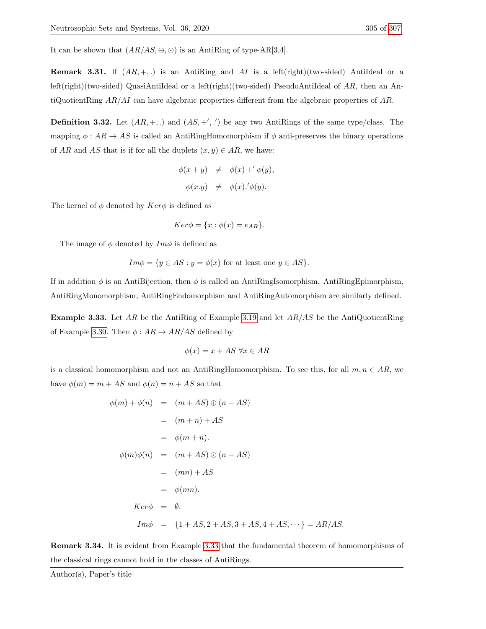It can be shown that  $(AR/AS, \oplus, \odot)$  is an AntiRing of type-AR[3,4].

**Remark 3.31.** If  $(AR, +,.)$  is an AntiRing and AI is a left(right)(two-sided) AntiIdeal or a left(right)(two-sided) QuasiAntiIdeal or a left(right)(two-sided) PseudoAntiIdeal of AR, then an AntiQuotientRing  $AR/AI$  can have algebraic properties different from the algebraic properties of AR.

**Definition 3.32.** Let  $(AR, +, .)$  and  $(AS, +', .')$  be any two AntiRings of the same type/class. The mapping  $\phi : AR \to AS$  is called an AntiRingHomomorphism if  $\phi$  anti-preserves the binary operations of AR and AS that is if for all the duplets  $(x, y) \in AR$ , we have:

$$
\phi(x + y) \neq \phi(x) +' \phi(y),
$$
  

$$
\phi(x.y) \neq \phi(x) \cdot' \phi(y).
$$

The kernel of  $\phi$  denoted by  $Ker\phi$  is defined as

$$
Ker \phi = \{x : \phi(x) = e_{AR}\}.
$$

The image of  $\phi$  denoted by  $Im \phi$  is defined as

$$
Im\phi = \{y \in AS : y = \phi(x) \text{ for at least one } y \in AS\}.
$$

If in addition  $\phi$  is an AntiBijection, then  $\phi$  is called an AntiRingIsomorphism. AntiRingEpimorphism, AntiRingMonomorphism, AntiRingEndomorphism and AntiRingAutomorphism are similarly defined.

<span id="page-13-0"></span>**Example 3.33.** Let AR be the AntiRing of Example [3.19](#page-10-2) and let  $AR/AS$  be the AntiQuotientRing of Example [3.30.](#page-12-0) Then  $\phi: AR \rightarrow AR/AS$  defined by

$$
\phi(x) = x + AS \,\forall x \in AR
$$

is a classical homomorphism and not an AntiRingHomomorphism. To see this, for all  $m, n \in AR$ , we have  $\phi(m) = m + AS$  and  $\phi(n) = n + AS$  so that

$$
\phi(m) + \phi(n) = (m + AS) \oplus (n + AS)
$$
  
\n
$$
= (m + n) + AS
$$
  
\n
$$
= \phi(m + n).
$$
  
\n
$$
\phi(m)\phi(n) = (m + AS) \odot (n + AS)
$$
  
\n
$$
= (mn) + AS
$$
  
\n
$$
= \phi(mn).
$$
  
\n
$$
Ker\phi = \emptyset.
$$
  
\n
$$
Im\phi = \{1 + AS, 2 + AS, 3 + AS, 4 + AS, \cdots\} = AR/AS.
$$

Remark 3.34. It is evident from Example [3.33](#page-13-0) that the fundamental theorem of homomorphisms of the classical rings cannot hold in the classes of AntiRings.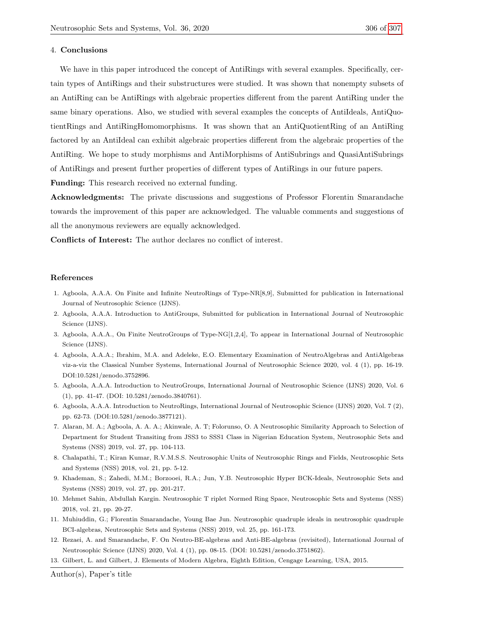#### 4. Conclusions

We have in this paper introduced the concept of AntiRings with several examples. Specifically, certain types of AntiRings and their substructures were studied. It was shown that nonempty subsets of an AntiRing can be AntiRings with algebraic properties different from the parent AntiRing under the same binary operations. Also, we studied with several examples the concepts of AntiIdeals, AntiQuotientRings and AntiRingHomomorphisms. It was shown that an AntiQuotientRing of an AntiRing factored by an AntiIdeal can exhibit algebraic properties different from the algebraic properties of the AntiRing. We hope to study morphisms and AntiMorphisms of AntiSubrings and QuasiAntiSubrings of AntiRings and present further properties of different types of AntiRings in our future papers.

Funding: This research received no external funding.

Acknowledgments: The private discussions and suggestions of Professor Florentin Smarandache towards the improvement of this paper are acknowledged. The valuable comments and suggestions of all the anonymous reviewers are equally acknowledged.

Conflicts of Interest: The author declares no conflict of interest.

#### References

- <span id="page-14-8"></span>1. Agboola, A.A.A. On Finite and Infinite NeutroRings of Type-NR[8,9], Submitted for publication in International Journal of Neutrosophic Science (IJNS).
- <span id="page-14-7"></span>2. Agboola, A.A.A. Introduction to AntiGroups, Submitted for publication in International Journal of Neutrosophic Science (IJNS).
- <span id="page-14-6"></span>3. Agboola, A.A.A., On Finite NeutroGroups of Type-NG[1,2,4], To appear in International Journal of Neutrosophic Science (IJNS).
- <span id="page-14-3"></span>4. Agboola, A.A.A.; Ibrahim, M.A. and Adeleke, E.O. Elementary Examination of NeutroAlgebras and AntiAlgebras viz-a-viz the Classical Number Systems, International Journal of Neutrosophic Science 2020, vol. 4 (1), pp. 16-19. DOI:10.5281/zenodo.3752896.
- <span id="page-14-4"></span>5. Agboola, A.A.A. Introduction to NeutroGroups, International Journal of Neutrosophic Science (IJNS) 2020, Vol. 6 (1), pp. 41-47. (DOI: 10.5281/zenodo.3840761).
- <span id="page-14-5"></span>6. Agboola, A.A.A. Introduction to NeutroRings, International Journal of Neutrosophic Science (IJNS) 2020, Vol. 7 (2), pp. 62-73. (DOI:10.5281/zenodo.3877121).
- <span id="page-14-0"></span>7. Alaran, M. A.; Agboola, A. A. A.; Akinwale, A. T; Folorunso, O. A Neutrosophic Similarity Approach to Selection of Department for Student Transiting from JSS3 to SSS1 Class in Nigerian Education System, Neutrosophic Sets and Systems (NSS) 2019, vol. 27, pp. 104-113.
- 8. Chalapathi, T.; Kiran Kumar, R.V.M.S.S. Neutrosophic Units of Neutrosophic Rings and Fields, Neutrosophic Sets and Systems (NSS) 2018, vol. 21, pp. 5-12.
- 9. Khademan, S.; Zahedi, M.M.; Borzooei, R.A.; Jun, Y.B. Neutrosophic Hyper BCK-Ideals, Neutrosophic Sets and Systems (NSS) 2019, vol. 27, pp. 201-217.
- 10. Mehmet Sahin, Abdullah Kargin. Neutrosophic T riplet Normed Ring Space, Neutrosophic Sets and Systems (NSS) 2018, vol. 21, pp. 20-27.
- <span id="page-14-1"></span>11. Muhiuddin, G.; Florentin Smarandache, Young Bae Jun. Neutrosophic quadruple ideals in neutrosophic quadruple BCI-algebras, Neutrosophic Sets and Systems (NSS) 2019, vol. 25, pp. 161-173.
- <span id="page-14-2"></span>12. Rezaei, A. and Smarandache, F. On Neutro-BE-algebras and Anti-BE-algebras (revisited), International Journal of Neutrosophic Science (IJNS) 2020, Vol. 4 (1), pp. 08-15. (DOI: 10.5281/zenodo.3751862).
- <span id="page-14-9"></span>13. Gilbert, L. and Gilbert, J. Elements of Modern Algebra, Eighth Edition, Cengage Learning, USA, 2015.